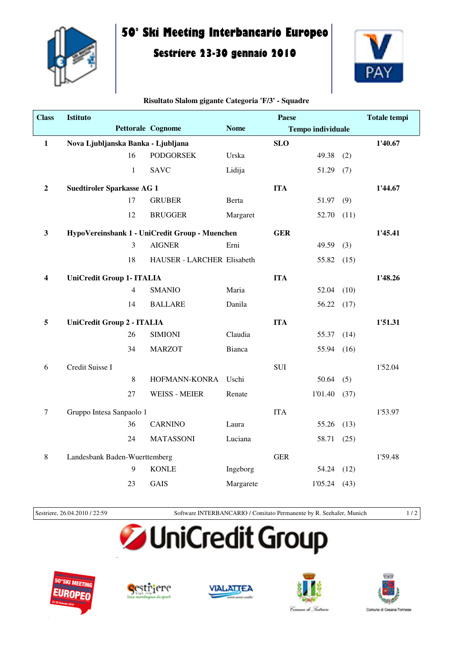

## **50° Ski Meeting Interbancario Europeo**

## **Sestriere 23-30 gennaio 2010**



## **Risultato Slalom gigante Categoria 'F/3' - Squadre**

| <b>Class</b>   | <b>Istituto</b>                                |                            |               | <b>Paese</b> |                          |         | <b>Totale tempi</b> |
|----------------|------------------------------------------------|----------------------------|---------------|--------------|--------------------------|---------|---------------------|
|                |                                                | <b>Pettorale Cognome</b>   | <b>Nome</b>   |              | <b>Tempo individuale</b> |         |                     |
| $\mathbf{1}$   | Nova Ljubljanska Banka - Ljubljana             |                            |               | <b>SLO</b>   |                          |         | 1'40.67             |
|                | 16                                             | <b>PODGORSEK</b>           | Urska         |              | 49.38                    | (2)     |                     |
|                | $\mathbf{1}$                                   | <b>SAVC</b>                | Lidija        |              | 51.29                    | (7)     |                     |
| $\overline{2}$ | <b>Suedtiroler Sparkasse AG 1</b>              |                            | <b>ITA</b>    |              |                          | 1'44.67 |                     |
|                | 17                                             | <b>GRUBER</b>              | <b>Berta</b>  |              | 51.97                    | (9)     |                     |
|                | 12                                             | <b>BRUGGER</b>             | Margaret      |              | 52.70                    | (11)    |                     |
| $\mathbf{3}$   | HypoVereinsbank 1 - UniCredit Group - Muenchen |                            | <b>GER</b>    |              |                          | 1'45.41 |                     |
|                | 3                                              | <b>AIGNER</b>              | Erni          |              | 49.59                    | (3)     |                     |
|                | 18                                             | HAUSER - LARCHER Elisabeth |               |              | 55.82                    | (15)    |                     |
| 4              | <b>UniCredit Group 1- ITALIA</b>               |                            |               | <b>ITA</b>   |                          |         | 1'48.26             |
|                | 4                                              | <b>SMANIO</b>              | Maria         |              | 52.04                    | (10)    |                     |
|                | 14                                             | <b>BALLARE</b>             | Danila        |              | 56.22                    | (17)    |                     |
| 5              | UniCredit Group 2 - ITALIA                     |                            |               | <b>ITA</b>   |                          |         | 1'51.31             |
|                | 26                                             | <b>SIMIONI</b>             | Claudia       |              | 55.37                    | (14)    |                     |
|                | 34                                             | <b>MARZOT</b>              | <b>Bianca</b> |              | 55.94                    | (16)    |                     |
| 6              | Credit Suisse I                                |                            |               | <b>SUI</b>   |                          |         | 1'52.04             |
|                | 8                                              | HOFMANN-KONRA              | Uschi         |              | 50.64                    | (5)     |                     |
|                | 27                                             | <b>WEISS - MEIER</b>       | Renate        |              | 1'01.40                  | (37)    |                     |
| $\tau$         | Gruppo Intesa Sanpaolo 1                       |                            |               | <b>ITA</b>   |                          |         | 1'53.97             |
|                | 36                                             | <b>CARNINO</b>             | Laura         |              | 55.26                    | (13)    |                     |
|                | 24                                             | <b>MATASSONI</b>           | Luciana       |              | 58.71                    | (25)    |                     |
| $\,8\,$        | Landesbank Baden-Wuerttemberg                  |                            |               | <b>GER</b>   |                          |         | 1'59.48             |
|                | 9                                              | <b>KONLE</b>               | Ingeborg      |              | 54.24                    | (12)    |                     |
|                | 23                                             | <b>GAIS</b>                | Margarete     |              | 1'05.24                  | (43)    |                     |

Sestriere, 26.04.2010 / 22:59 Software INTERBANCARIO / Comitato Permanente by R. Seehafer, Munich 1 / 2

## **JUniCredit Group**